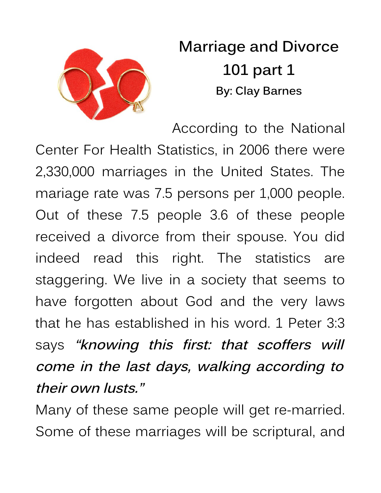

**Marriage and Divorce 101 part 1 By: Clay Barnes**

According to the National Center For Health Statistics, in 2006 there were 2,330,000 marriages in the United States. The mariage rate was 7.5 persons per 1,000 people. Out of these 7.5 people 3.6 of these people received a divorce from their spouse. You did indeed read this right. The statistics are staggering. We live in a society that seems to have forgotten about God and the very laws that he has established in his word. 1 Peter 3:3 says **"knowing this first: that scoffers will come in the last days, walking according to their own lusts."**

Many of these same people will get re-married. Some of these marriages will be scriptural, and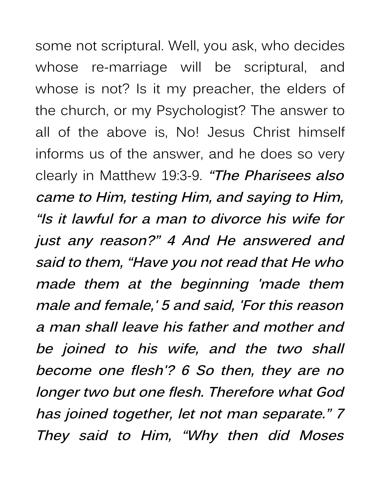some not scriptural. Well, you ask, who decides whose re-marriage will be scriptural, and whose is not? Is it my preacher, the elders of the church, or my Psychologist? The answer to all of the above is, No! Jesus Christ himself informs us of the answer, and he does so very clearly in Matthew 19:3-9. **"The Pharisees also came to Him, testing Him, and saying to Him, "Is it lawful for a man to divorce his wife for just any reason?" <sup>4</sup> And He answered and said to them, "Have you not read that He who made them at the beginning 'made them male and female,' 5 and said, 'For this reason a man shall leave his father and mother and be joined to his wife, and the two shall become one flesh'? 6 So then, they are no longer two but one flesh. Therefore what God has joined together, let not man separate." 7 They said to Him, "Why then did Moses**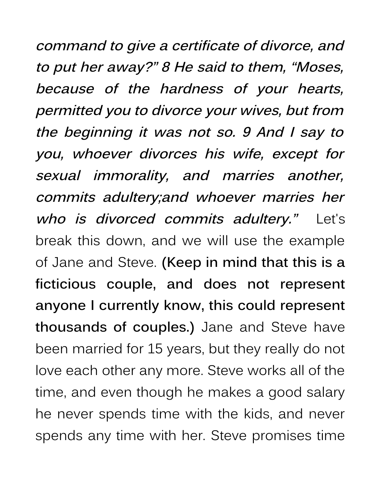**command to give a certificate of divorce, and to put her away?" 8 He said to them, "Moses, because of the hardness of your hearts, permitted you to divorce your wives, but from the beginning it was not so. 9 And I say to you, whoever divorces his wife, except for sexual immorality, and marries another, commits adultery;and whoever marries her who is divorced commits adultery."** Let's break this down, and we will use the example of Jane and Steve. **(Keep in mind that this is a ficticious couple, and does not represent anyone I currently know, this could represent thousands of couples.)** Jane and Steve have been married for 15 years, but they really do not love each other any more. Steve works all of the time, and even though he makes a good salary he never spends time with the kids, and never spends any time with her. Steve promises time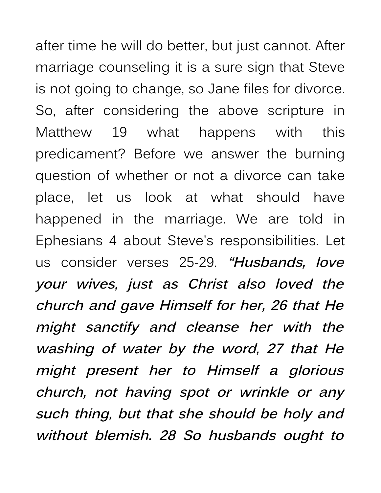after time he will do better, but just cannot. After marriage counseling it is a sure sign that Steve is not going to change, so Jane files for divorce. So, after considering the above scripture in Matthew 19 what happens with this predicament? Before we answer the burning question of whether or not a divorce can take place, let us look at what should have happened in the marriage. We are told in Ephesians 4 about Steve's responsibilities. Let us consider verses 25-29. **"Husbands, love your wives, just as Christ also loved the church and gave Himself for her, 26 that He might sanctify and cleanse her with the washing of water by the word, <sup>27</sup> that He might present her to Himself <sup>a</sup> glorious church, not having spot or wrinkle or any such thing, but that she should be holy and without blemish. <sup>28</sup> So husbands ought to**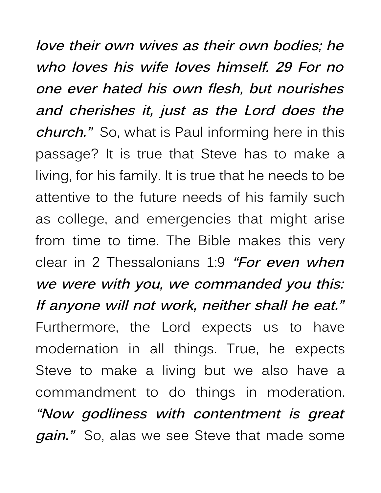**love their own wives as their own bodies; he who loves his wife loves himself. 29 For no one ever hated his own flesh, but nourishes and cherishes it, just as the Lord does the church."** So, what is Paul informing here in this passage? It is true that Steve has to make a living, for his family. It is true that he needs to be attentive to the future needs of his family such as college, and emergencies that might arise from time to time. The Bible makes this very clear in 2 Thessalonians 1:9 **"For even when we were with you, we commanded you this: If anyone will not work, neither shall he eat."** Furthermore, the Lord expects us to have modernation in all things. True, he expects Steve to make a living but we also have a commandment to do things in moderation. **"Now godliness with contentment is great gain."** So, alas we see Steve that made some